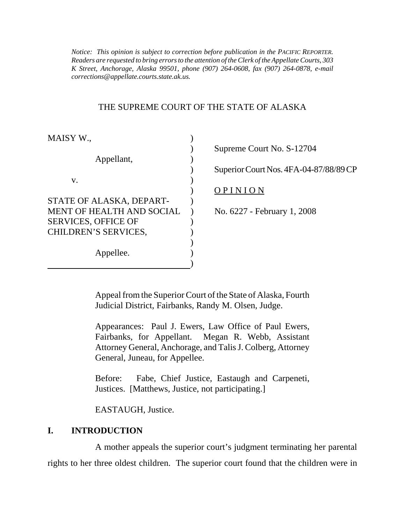*Notice: This opinion is subject to correction before publication in the PACIFIC REPORTER. Readers are requested to bring errors to the attention of the Clerk of the Appellate Courts, 303 K Street, Anchorage, Alaska 99501, phone (907) 264-0608, fax (907) 264-0878, e-mail corrections@appellate.courts.state.ak.us.*

#### THE SUPREME COURT OF THE STATE OF ALASKA

| MAISY W.,                  |                                        |
|----------------------------|----------------------------------------|
|                            | Supreme Court No. S-12704              |
| Appellant,                 |                                        |
|                            | Superior Court Nos. 4FA-04-87/88/89 CP |
| V.                         |                                        |
|                            | OPINION                                |
| STATE OF ALASKA, DEPART-   |                                        |
| MENT OF HEALTH AND SOCIAL  | No. 6227 - February 1, 2008            |
| <b>SERVICES, OFFICE OF</b> |                                        |
| CHILDREN'S SERVICES,       |                                        |
|                            |                                        |
| Appellee.                  |                                        |
|                            |                                        |

Appeal from the Superior Court of the State of Alaska, Fourth Judicial District, Fairbanks, Randy M. Olsen, Judge.

Appearances: Paul J. Ewers, Law Office of Paul Ewers, Fairbanks, for Appellant. Megan R. Webb, Assistant Attorney General, Anchorage, and Talis J. Colberg, Attorney General, Juneau, for Appellee.

Before: Fabe, Chief Justice, Eastaugh and Carpeneti, Justices. [Matthews, Justice, not participating.]

EASTAUGH, Justice.

### **I. INTRODUCTION**

A mother appeals the superior court's judgment terminating her parental rights to her three oldest children. The superior court found that the children were in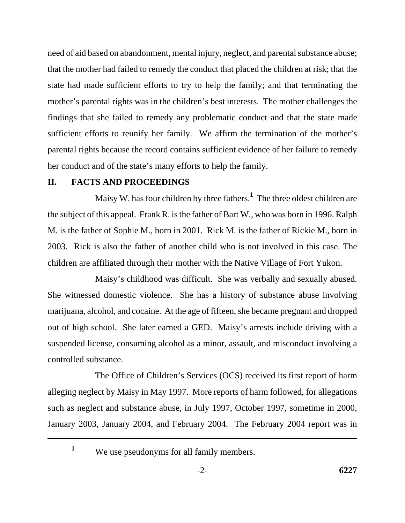need of aid based on abandonment, mental injury, neglect, and parental substance abuse; that the mother had failed to remedy the conduct that placed the children at risk; that the state had made sufficient efforts to try to help the family; and that terminating the mother's parental rights was in the children's best interests. The mother challenges the findings that she failed to remedy any problematic conduct and that the state made sufficient efforts to reunify her family. We affirm the termination of the mother's parental rights because the record contains sufficient evidence of her failure to remedy her conduct and of the state's many efforts to help the family.

### **II. FACTS AND PROCEEDINGS**

Maisy W. has four children by three fathers.**<sup>1</sup>** The three oldest children are the subject of this appeal. Frank R. is the father of Bart W., who was born in 1996. Ralph M. is the father of Sophie M., born in 2001. Rick M. is the father of Rickie M., born in 2003. Rick is also the father of another child who is not involved in this case. The children are affiliated through their mother with the Native Village of Fort Yukon.

Maisy's childhood was difficult. She was verbally and sexually abused. She witnessed domestic violence. She has a history of substance abuse involving marijuana, alcohol, and cocaine. At the age of fifteen, she became pregnant and dropped out of high school. She later earned a GED. Maisy's arrests include driving with a suspended license, consuming alcohol as a minor, assault, and misconduct involving a controlled substance.

The Office of Children's Services (OCS) received its first report of harm alleging neglect by Maisy in May 1997. More reports of harm followed, for allegations such as neglect and substance abuse, in July 1997, October 1997, sometime in 2000, January 2003, January 2004, and February 2004. The February 2004 report was in

<sup>&</sup>lt;sup>1</sup> We use pseudonyms for all family members.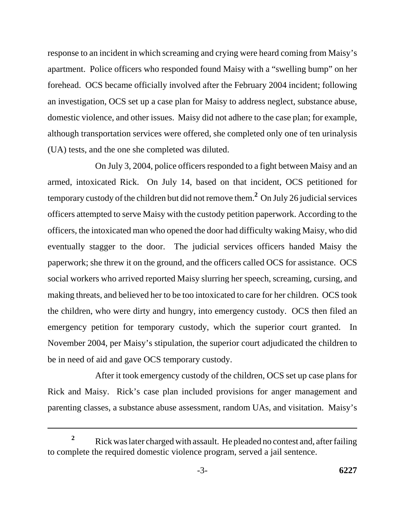response to an incident in which screaming and crying were heard coming from Maisy's apartment. Police officers who responded found Maisy with a "swelling bump" on her forehead. OCS became officially involved after the February 2004 incident; following an investigation, OCS set up a case plan for Maisy to address neglect, substance abuse, domestic violence, and other issues. Maisy did not adhere to the case plan; for example, although transportation services were offered, she completed only one of ten urinalysis (UA) tests, and the one she completed was diluted.

On July 3, 2004, police officers responded to a fight between Maisy and an armed, intoxicated Rick. On July 14, based on that incident, OCS petitioned for temporary custody of the children but did not remove them.**<sup>2</sup>** On July 26 judicial services officers attempted to serve Maisy with the custody petition paperwork. According to the officers, the intoxicated man who opened the door had difficulty waking Maisy, who did eventually stagger to the door. The judicial services officers handed Maisy the paperwork; she threw it on the ground, and the officers called OCS for assistance. OCS social workers who arrived reported Maisy slurring her speech, screaming, cursing, and making threats, and believed her to be too intoxicated to care for her children. OCS took the children, who were dirty and hungry, into emergency custody. OCS then filed an emergency petition for temporary custody, which the superior court granted. In November 2004, per Maisy's stipulation, the superior court adjudicated the children to be in need of aid and gave OCS temporary custody.

After it took emergency custody of the children, OCS set up case plans for Rick and Maisy. Rick's case plan included provisions for anger management and parenting classes, a substance abuse assessment, random UAs, and visitation. Maisy's

<sup>&</sup>lt;sup>2</sup> Rick was later charged with assault. He pleaded no contest and, after failing to complete the required domestic violence program, served a jail sentence.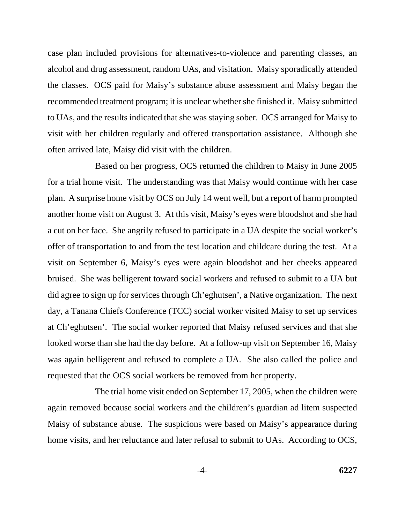case plan included provisions for alternatives-to-violence and parenting classes, an alcohol and drug assessment, random UAs, and visitation. Maisy sporadically attended the classes. OCS paid for Maisy's substance abuse assessment and Maisy began the recommended treatment program; it is unclear whether she finished it. Maisy submitted to UAs, and the results indicated that she was staying sober. OCS arranged for Maisy to visit with her children regularly and offered transportation assistance. Although she often arrived late, Maisy did visit with the children.

Based on her progress, OCS returned the children to Maisy in June 2005 for a trial home visit. The understanding was that Maisy would continue with her case plan. A surprise home visit by OCS on July 14 went well, but a report of harm prompted another home visit on August 3. At this visit, Maisy's eyes were bloodshot and she had a cut on her face. She angrily refused to participate in a UA despite the social worker's offer of transportation to and from the test location and childcare during the test. At a visit on September 6, Maisy's eyes were again bloodshot and her cheeks appeared bruised. She was belligerent toward social workers and refused to submit to a UA but did agree to sign up for services through Ch'eghutsen', a Native organization. The next day, a Tanana Chiefs Conference (TCC) social worker visited Maisy to set up services at Ch'eghutsen'. The social worker reported that Maisy refused services and that she looked worse than she had the day before. At a follow-up visit on September 16, Maisy was again belligerent and refused to complete a UA. She also called the police and requested that the OCS social workers be removed from her property.

The trial home visit ended on September 17, 2005, when the children were again removed because social workers and the children's guardian ad litem suspected Maisy of substance abuse. The suspicions were based on Maisy's appearance during home visits, and her reluctance and later refusal to submit to UAs. According to OCS,

-4- **6227**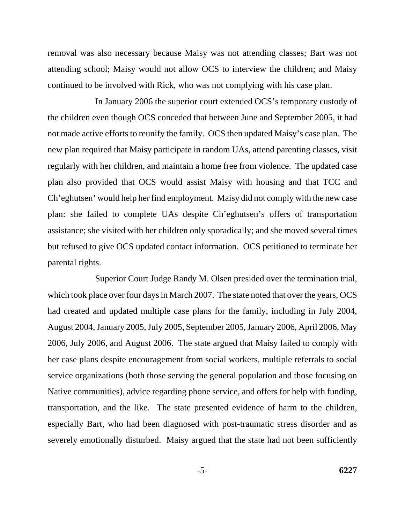removal was also necessary because Maisy was not attending classes; Bart was not attending school; Maisy would not allow OCS to interview the children; and Maisy continued to be involved with Rick, who was not complying with his case plan.

In January 2006 the superior court extended OCS's temporary custody of the children even though OCS conceded that between June and September 2005, it had not made active efforts to reunify the family. OCS then updated Maisy's case plan. The new plan required that Maisy participate in random UAs, attend parenting classes, visit regularly with her children, and maintain a home free from violence. The updated case plan also provided that OCS would assist Maisy with housing and that TCC and Ch'eghutsen' would help her find employment. Maisy did not comply with the new case plan: she failed to complete UAs despite Ch'eghutsen's offers of transportation assistance; she visited with her children only sporadically; and she moved several times but refused to give OCS updated contact information. OCS petitioned to terminate her parental rights.

Superior Court Judge Randy M. Olsen presided over the termination trial, which took place over four days in March 2007. The state noted that over the years, OCS had created and updated multiple case plans for the family, including in July 2004, August 2004, January 2005, July 2005, September 2005, January 2006, April 2006, May 2006, July 2006, and August 2006. The state argued that Maisy failed to comply with her case plans despite encouragement from social workers, multiple referrals to social service organizations (both those serving the general population and those focusing on Native communities), advice regarding phone service, and offers for help with funding, transportation, and the like. The state presented evidence of harm to the children, especially Bart, who had been diagnosed with post-traumatic stress disorder and as severely emotionally disturbed. Maisy argued that the state had not been sufficiently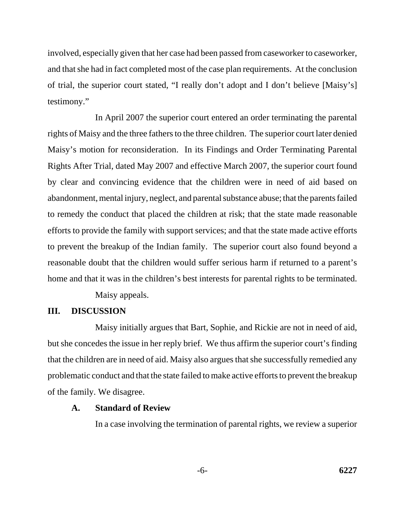involved, especially given that her case had been passed from caseworker to caseworker, and that she had in fact completed most of the case plan requirements. At the conclusion of trial, the superior court stated, "I really don't adopt and I don't believe [Maisy's] testimony."

In April 2007 the superior court entered an order terminating the parental rights of Maisy and the three fathers to the three children. The superior court later denied Maisy's motion for reconsideration. In its Findings and Order Terminating Parental Rights After Trial, dated May 2007 and effective March 2007, the superior court found by clear and convincing evidence that the children were in need of aid based on abandonment, mental injury, neglect, and parental substance abuse; that the parents failed to remedy the conduct that placed the children at risk; that the state made reasonable efforts to provide the family with support services; and that the state made active efforts to prevent the breakup of the Indian family. The superior court also found beyond a reasonable doubt that the children would suffer serious harm if returned to a parent's home and that it was in the children's best interests for parental rights to be terminated.

Maisy appeals.

### **III. DISCUSSION**

Maisy initially argues that Bart, Sophie, and Rickie are not in need of aid, but she concedes the issue in her reply brief. We thus affirm the superior court's finding that the children are in need of aid. Maisy also argues that she successfully remedied any problematic conduct and that the state failed to make active efforts to prevent the breakup of the family. We disagree.

## **A. Standard of Review**

In a case involving the termination of parental rights, we review a superior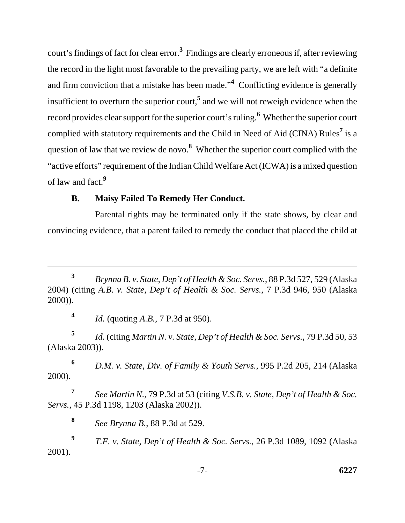court's findings of fact for clear error.**<sup>3</sup>** Findings are clearly erroneous if, after reviewing the record in the light most favorable to the prevailing party, we are left with "a definite and firm conviction that a mistake has been made."**<sup>4</sup>** Conflicting evidence is generally insufficient to overturn the superior court,**<sup>5</sup>** and we will not reweigh evidence when the record provides clear support for the superior court's ruling.**<sup>6</sup>** Whether the superior court complied with statutory requirements and the Child in Need of Aid (CINA) Rules**<sup>7</sup>** is a question of law that we review de novo.**<sup>8</sup>** Whether the superior court complied with the "active efforts" requirement of the Indian Child Welfare Act (ICWA) is a mixed question of law and fact.**<sup>9</sup>**

# **B. Maisy Failed To Remedy Her Conduct.**

Parental rights may be terminated only if the state shows, by clear and convincing evidence, that a parent failed to remedy the conduct that placed the child at

**<sup>4</sup>** *Id.* (quoting *A.B.*, 7 P.3d at 950).

**<sup>5</sup>** *Id.* (citing *Martin N. v. State, Dep't of Health & Soc. Servs.*, 79 P.3d 50, 53 (Alaska 2003)).

**<sup>6</sup>** *D.M. v. State, Div. of Family & Youth Servs.*, 995 P.2d 205, 214 (Alaska 2000).

**<sup>7</sup>** *See Martin N.*, 79 P.3d at 53 (citing *V.S.B. v. State, Dep't of Health & Soc. Servs.*, 45 P.3d 1198, 1203 (Alaska 2002)).

**<sup>8</sup>** *See Brynna B.*, 88 P.3d at 529.

**<sup>9</sup>** *T.F. v. State, Dep't of Health & Soc. Servs.*, 26 P.3d 1089, 1092 (Alaska 2001).

-7- **6227**

**<sup>3</sup>** *Brynna B. v. State, Dep't of Health & Soc. Servs.*, 88 P.3d 527, 529 (Alaska 2004) (citing *A.B. v. State, Dep't of Health & Soc. Servs.*, 7 P.3d 946, 950 (Alaska 2000)).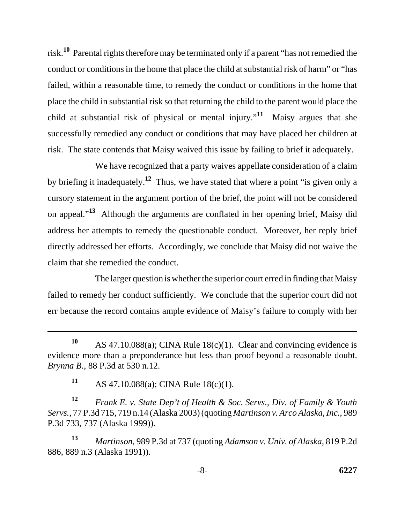risk.**10** Parental rights therefore may be terminated only if a parent "has not remedied the conduct or conditions in the home that place the child at substantial risk of harm" or "has failed, within a reasonable time, to remedy the conduct or conditions in the home that place the child in substantial risk so that returning the child to the parent would place the child at substantial risk of physical or mental injury."**11** Maisy argues that she successfully remedied any conduct or conditions that may have placed her children at risk. The state contends that Maisy waived this issue by failing to brief it adequately.

We have recognized that a party waives appellate consideration of a claim by briefing it inadequately.**12** Thus, we have stated that where a point "is given only a cursory statement in the argument portion of the brief, the point will not be considered on appeal."**13** Although the arguments are conflated in her opening brief, Maisy did address her attempts to remedy the questionable conduct. Moreover, her reply brief directly addressed her efforts. Accordingly, we conclude that Maisy did not waive the claim that she remedied the conduct.

The larger question is whether the superior court erred in finding that Maisy failed to remedy her conduct sufficiently. We conclude that the superior court did not err because the record contains ample evidence of Maisy's failure to comply with her

**<sup>11</sup>** AS 47.10.088(a); CINA Rule 18(c)(1).

**<sup>12</sup>** *Frank E. v. State Dep't of Health & Soc. Servs., Div. of Family & Youth Servs.*, 77 P.3d 715, 719 n.14 (Alaska 2003) (quoting *Martinson v. Arco Alaska, Inc.*, 989 P.3d 733, 737 (Alaska 1999)).

**<sup>13</sup>** *Martinson*, 989 P.3d at 737 (quoting *Adamson v. Univ. of Alaska*, 819 P.2d 886, 889 n.3 (Alaska 1991)).

**<sup>10</sup>** AS 47.10.088(a); CINA Rule 18(c)(1). Clear and convincing evidence is evidence more than a preponderance but less than proof beyond a reasonable doubt. *Brynna B.*, 88 P.3d at 530 n.12.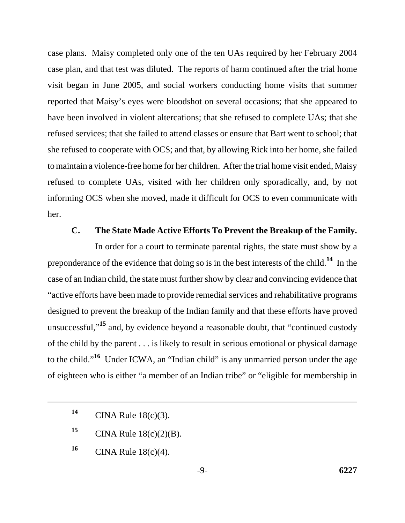case plans. Maisy completed only one of the ten UAs required by her February 2004 case plan, and that test was diluted. The reports of harm continued after the trial home visit began in June 2005, and social workers conducting home visits that summer reported that Maisy's eyes were bloodshot on several occasions; that she appeared to have been involved in violent altercations; that she refused to complete UAs; that she refused services; that she failed to attend classes or ensure that Bart went to school; that she refused to cooperate with OCS; and that, by allowing Rick into her home, she failed to maintain a violence-free home for her children. After the trial home visit ended, Maisy refused to complete UAs, visited with her children only sporadically, and, by not informing OCS when she moved, made it difficult for OCS to even communicate with her.

## **C. The State Made Active Efforts To Prevent the Breakup of the Family.**

In order for a court to terminate parental rights, the state must show by a preponderance of the evidence that doing so is in the best interests of the child.**14** In the case of an Indian child, the state must further show by clear and convincing evidence that "active efforts have been made to provide remedial services and rehabilitative programs designed to prevent the breakup of the Indian family and that these efforts have proved unsuccessful,"**15** and, by evidence beyond a reasonable doubt, that "continued custody of the child by the parent . . . is likely to result in serious emotional or physical damage to the child."**16** Under ICWA, an "Indian child" is any unmarried person under the age of eighteen who is either "a member of an Indian tribe" or "eligible for membership in

**<sup>14</sup>** CINA Rule 18(c)(3).

**<sup>15</sup>** CINA Rule 18(c)(2)(B).

**<sup>16</sup>** CINA Rule 18(c)(4).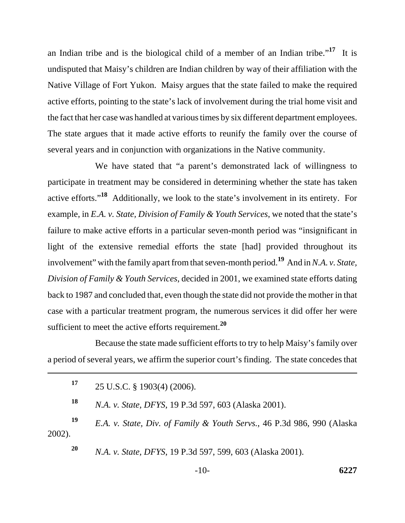an Indian tribe and is the biological child of a member of an Indian tribe."**17** It is undisputed that Maisy's children are Indian children by way of their affiliation with the Native Village of Fort Yukon. Maisy argues that the state failed to make the required active efforts, pointing to the state's lack of involvement during the trial home visit and the fact that her case was handled at various times by six different department employees. The state argues that it made active efforts to reunify the family over the course of several years and in conjunction with organizations in the Native community.

We have stated that "a parent's demonstrated lack of willingness to participate in treatment may be considered in determining whether the state has taken active efforts."**18** Additionally, we look to the state's involvement in its entirety. For example, in *E.A. v. State, Division of Family & Youth Services*, we noted that the state's failure to make active efforts in a particular seven-month period was "insignificant in light of the extensive remedial efforts the state [had] provided throughout its involvement" with the family apart from that seven-month period.**19** And in *N.A. v. State, Division of Family & Youth Services*, decided in 2001, we examined state efforts dating back to 1987 and concluded that, even though the state did not provide the mother in that case with a particular treatment program, the numerous services it did offer her were sufficient to meet the active efforts requirement.**<sup>20</sup>**

Because the state made sufficient efforts to try to help Maisy's family over a period of several years, we affirm the superior court's finding. The state concedes that

| 17           | 25 U.S.C. § 1903(4) (2006).                                            |
|--------------|------------------------------------------------------------------------|
| 18           | N.A. v. State, DFYS, 19 P.3d 597, 603 (Alaska 2001).                   |
| 19<br>2002). | E.A. v. State, Div. of Family & Youth Servs., 46 P.3d 986, 990 (Alaska |
|              |                                                                        |
| <b>20</b>    | N.A. v. State, DFYS, 19 P.3d 597, 599, 603 (Alaska 2001).              |